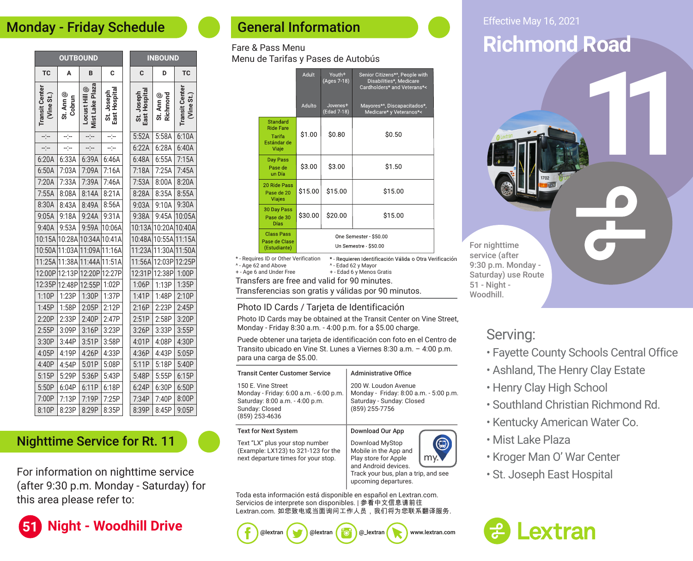### Monday - Friday Schedule

| <b>OUTBOUND</b>                     |                     |                                  |                             | <b>INBOUND</b>              |                       |                                    |
|-------------------------------------|---------------------|----------------------------------|-----------------------------|-----------------------------|-----------------------|------------------------------------|
| <b>TC</b>                           | Α                   | B                                | C                           | C                           | D                     | <b>TC</b>                          |
| <b>Transit Center</b><br>(Vine St.) | St. Ann @<br>Cobrun | Mist Lake Plaza<br>Locust Hill @ | East Hospital<br>St. Joseph | East Hospital<br>St. Joseph | Richmond<br>St. Ann @ | <b>Transit Cente</b><br>(Vine St.) |
| –:−                                 | ---                 |                                  | --:--                       | 5:52A                       | 5:58A                 | 6:10A                              |
| ----                                | ---                 |                                  | --)--                       | 6:22A                       | 6:28A                 | 6:40A                              |
| 6:20A                               | 6:33A               | 6:39A                            | 6:46A                       | 6:48A                       | 6:55A                 | 7:15A                              |
| 6:50A                               | 7:03A               | 7:09A                            | 7:16A                       | 7:18A                       | 7:25A                 | 7:45A                              |
| 7:20A                               | 7:33A               | 7:39A                            | 7:46A                       | 7:53A                       | 8:00A                 | 8:20A                              |
| 7:55A                               | 8:08A               | 8:14A                            | 8:21A                       | 8:28A                       | 8:35A                 | 8:55A                              |
| 8:30A                               | 8:43A               | 8:49A                            | 8:56A                       | 9:03A                       | 9:10A                 | 9:30A                              |
| 9:05A                               | 9:18A               | 9:24A                            | 9:31A                       | 9:38A                       | 9:45A                 | 10:05A                             |
| 9:40A                               | 9:53A               | 9:59A                            | 10:06A                      | 10:13A                      | 10:20A                | 10:40A                             |
| 10:15A                              | 10:28A              | 10:34A                           | 10:41A                      | 10:48A                      | 10:55A                | 11:15A                             |
| 10:50A                              | 11:03A              | 11:09A                           | 11:16A                      | 11:23A                      | 11:30A                | 11:50A                             |
| 11:25A                              | 11:38A              | 11:44A                           | 11:51A                      | 11:56A                      | 12:03P                | 12:25P                             |
| 12:00P                              | 12:13P              | 12:20P                           | 12:27P                      | 12:31P                      | 12:38P                | 1:00P                              |
| 12:35P                              | 12:48P              | 12:55P                           | 1:02P                       | 1:06P                       | 1:13P                 | 1:35P                              |
| 1:10P                               | 1:23P               | 1:30P                            | 1:37P                       | 1:41P                       | 1:48P                 | 2:10P                              |
| 1:45P                               | 1:58P               | 2:05P                            | 2:12P                       | 2:16P                       | 2:23P                 | 2:45P                              |
| 2:20P                               | 2:33P               | 2:40P                            | 2:47P                       | 2:51P                       | 2:58P                 | 3:20P                              |
| 2:55P                               | 3:09P               | 3:16P                            | 3:23P                       | 3:26P                       | 3:33P                 | 3:55P                              |
| 3:30P                               | 3:44P               | 3:51P                            | 3:58P                       | 4:01P                       | 4:08P                 | 4:30P                              |
| 4:05P                               | 4:19P               | 4:26P                            | 4:33P                       | 4:36P                       | 4:43P                 | 5:05P                              |
| 4:40P                               | 4:54P               | 5:01P                            | 5:08P                       | 5:11P                       | 5:18P                 | 5:40P                              |
| 5:15P                               | 5:29P               | 5:36P                            | 5:43P                       | 5:48P                       | 5:55P                 | 6:15P                              |
| 5:50P                               | 6:04P               | 6:11P                            | 6:18P                       | 6:24P                       | 6:30P                 | 6:50P                              |
| 7:00P                               | 7:13P               | 7:19P                            | 7:25P                       | 7:34P                       | 7:40P                 | 8:00P                              |
| 8:10P                               | 8:23P               | 8:29P                            | 8:35P                       | 8:39P                       | 8:45P                 | 9:05P                              |

### Nighttime Service for Rt. 11

For information on nighttime service (after 9:30 p.m. Monday - Saturday) for this area please refer to:

## **51 Night - Woodhill Drive**

### General Information

#### Fare & Pass Menu Menu de Tarifas y Pases de Autobús

|                               |                                                                                           | Adult   | Youth <sup>+</sup><br>(Ages 7-18)               | Senior Citizens*^, People with<br>Disabilities <sup>*</sup> , Medicare<br>Cardholders* and Veterans*<     |  |  |
|-------------------------------|-------------------------------------------------------------------------------------------|---------|-------------------------------------------------|-----------------------------------------------------------------------------------------------------------|--|--|
|                               |                                                                                           | Adulto  | Jovenes <sup>+</sup><br>(Edad 7-18)             | Mayores*^, Discapacitados*,<br>Medicare* y Veteranos*<                                                    |  |  |
|                               | Standard<br><b>Ride Fare</b><br>Tarifa<br>Estándar de<br>Viaje                            | \$1.00  | \$0.80                                          | \$0.50                                                                                                    |  |  |
| Day Pass<br>Pase de<br>un Día |                                                                                           | \$3.00  | \$3.00                                          | \$1.50                                                                                                    |  |  |
|                               | 20 Ride Pass<br>Pase de 20<br><b>Viajes</b>                                               | \$15.00 | \$15.00                                         | \$15.00                                                                                                   |  |  |
|                               | 30 Day Pass<br>Pase de 30<br><b>Días</b>                                                  | \$30.00 | \$20.00                                         | \$15.00                                                                                                   |  |  |
|                               | <b>Class Pass</b><br>Pase de Clase<br>(Estudiante)                                        |         | One Semester - \$50.00<br>Un Semestre - \$50.00 |                                                                                                           |  |  |
|                               | * - Requires ID or Other Verification<br>^ - Age 62 and Above<br>+ - Ago 6 and Under Free |         |                                                 | * Requieren Identificación Válida o Otra Verificación<br>^ - Edad 62 y Mayor<br>+ - Edad 6 y Manos Gratis |  |  |

 $^{\wedge}$  - Age  $+$  - Age Transfers are free and valid for 90 minutes. + - Edad 6 y Menos Gratis

Transferencias son gratis y válidas por 90 minutos.

#### Photo ID Cards / Tarjeta de Identificación

Photo ID Cards may be obtained at the Transit Center on Vine Street, Monday - Friday 8:30 a.m. - 4:00 p.m. for a \$5.00 charge.

Puede obtener una tarjeta de identificación con foto en el Centro de Transito ubicado en Vine St. Lunes a Viernes 8:30 a.m. – 4:00 p.m. para una carga de \$5.00.

| <b>Transit Center Customer Service</b>                                                                                              | <b>Administrative Office</b>                                                                                                                             |  |  |  |  |
|-------------------------------------------------------------------------------------------------------------------------------------|----------------------------------------------------------------------------------------------------------------------------------------------------------|--|--|--|--|
| 150 E. Vine Street<br>Monday - Friday: 6:00 a.m. - 6:00 p.m.<br>Saturday: 8:00 a.m. - 4:00 p.m.<br>Sunday: Closed<br>(859) 253-4636 | 200 W. Loudon Avenue<br>Monday - Friday: 8:00 a.m. - 5:00 p.m.<br>Saturday - Sunday: Closed<br>(859) 255-7756                                            |  |  |  |  |
| Text for Next System                                                                                                                | Download Our App                                                                                                                                         |  |  |  |  |
| Text "LX" plus your stop number<br>(Example: LX123) to 321-123 for the<br>next departure times for your stop.                       | Download MyStop<br>Mobile in the App and<br>Play store for Apple<br>and Android devices.<br>Track your bus, plan a trip, and see<br>upcoming departures. |  |  |  |  |

Toda esta información está disponible en español en Lextran.com. Servicios de interprete son disponibles. | 参看中文信息请前往 Lextran.com. 如您致电或当面询问工作人员, 我们将为您联系翻译服务.

@lextran ( @ ) @lextran ( @ ) @\_lextran ( www.lextran.com



# **Richmond Road**

**11**

For nighttime service (after 9:30 p.m. Monday - Saturday) use Route 51 - Night - Woodhill.

### Serving:

- Fayette County Schools Central Office
- Ashland, The Henry Clay Estate
- Henry Clay High School
- Southland Christian Richmond Rd.
- Kentucky American Water Co.
- Mist Lake Plaza
- Kroger Man O' War Center
- St. Joseph East Hospital